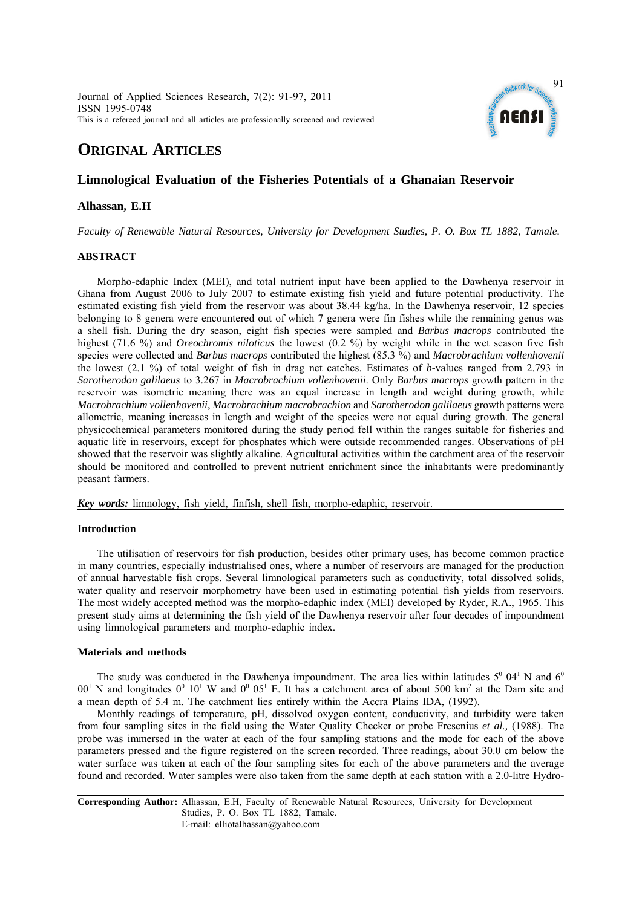Journal of Applied Sciences Research, 7(2): 91-97, 2011 ISSN 1995-0748 This is a refereed journal and all articles are professionally screened and reviewed



# **ORIGINAL ARTICLES**

## **Limnological Evaluation of the Fisheries Potentials of a Ghanaian Reservoir**

### **Alhassan, E.H**

*Faculty of Renewable Natural Resources, University for Development Studies, P. O. Box TL 1882, Tamale.* 

### **ABSTRACT**

Morpho-edaphic Index (MEI), and total nutrient input have been applied to the Dawhenya reservoir in Ghana from August 2006 to July 2007 to estimate existing fish yield and future potential productivity. The estimated existing fish yield from the reservoir was about 38.44 kg/ha. In the Dawhenya reservoir, 12 species belonging to 8 genera were encountered out of which 7 genera were fin fishes while the remaining genus was a shell fish. During the dry season, eight fish species were sampled and *Barbus macrops* contributed the highest (71.6 %) and *Oreochromis niloticus* the lowest (0.2 %) by weight while in the wet season five fish species were collected and *Barbus macrops* contributed the highest (85.3 %) and *Macrobrachium vollenhovenii* the lowest (2.1 %) of total weight of fish in drag net catches. Estimates of *b-*values ranged from 2.793 in *Sarotherodon galilaeus* to 3.267 in *Macrobrachium vollenhovenii*. Only *Barbus macrops* growth pattern in the reservoir was isometric meaning there was an equal increase in length and weight during growth, while *Macrobrachium vollenhovenii*, *Macrobrachium macrobrachion* and *Sarotherodon galilaeus* growth patterns were allometric, meaning increases in length and weight of the species were not equal during growth. The general physicochemical parameters monitored during the study period fell within the ranges suitable for fisheries and aquatic life in reservoirs, except for phosphates which were outside recommended ranges. Observations of pH showed that the reservoir was slightly alkaline. Agricultural activities within the catchment area of the reservoir should be monitored and controlled to prevent nutrient enrichment since the inhabitants were predominantly peasant farmers.

*Key words:* limnology, fish yield, finfish, shell fish, morpho-edaphic, reservoir.

#### **Introduction**

The utilisation of reservoirs for fish production, besides other primary uses, has become common practice in many countries, especially industrialised ones, where a number of reservoirs are managed for the production of annual harvestable fish crops. Several limnological parameters such as conductivity, total dissolved solids, water quality and reservoir morphometry have been used in estimating potential fish yields from reservoirs. The most widely accepted method was the morpho-edaphic index (MEI) developed by Ryder, R.A., 1965. This present study aims at determining the fish yield of the Dawhenya reservoir after four decades of impoundment using limnological parameters and morpho-edaphic index.

#### **Materials and methods**

The study was conducted in the Dawhenya impoundment. The area lies within latitudes  $5^{\circ}$  04<sup>1</sup> N and 6<sup>0</sup>  $00^1$  N and longitudes  $0^0$  10<sup>1</sup> W and  $0^0$  05<sup>1</sup> E. It has a catchment area of about 500 km<sup>2</sup> at the Dam site and a mean depth of 5.4 m. The catchment lies entirely within the Accra Plains IDA, (1992).

Monthly readings of temperature, pH, dissolved oxygen content, conductivity, and turbidity were taken from four sampling sites in the field using the Water Quality Checker or probe Fresenius *et al.,* (1988). The probe was immersed in the water at each of the four sampling stations and the mode for each of the above parameters pressed and the figure registered on the screen recorded. Three readings, about 30.0 cm below the water surface was taken at each of the four sampling sites for each of the above parameters and the average found and recorded. Water samples were also taken from the same depth at each station with a 2.0-litre Hydro-

**Corresponding Author:** Alhassan, E.H, Faculty of Renewable Natural Resources, University for Development Studies, P. O. Box TL 1882, Tamale. E-mail: elliotalhassan@yahoo.com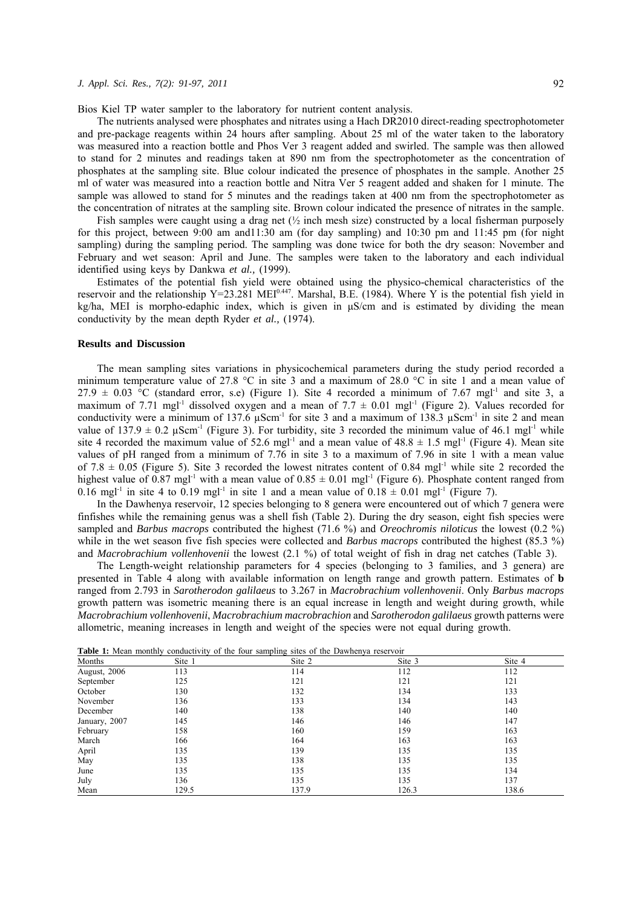Bios Kiel TP water sampler to the laboratory for nutrient content analysis.

The nutrients analysed were phosphates and nitrates using a Hach DR2010 direct-reading spectrophotometer and pre-package reagents within 24 hours after sampling. About 25 ml of the water taken to the laboratory was measured into a reaction bottle and Phos Ver 3 reagent added and swirled. The sample was then allowed to stand for 2 minutes and readings taken at 890 nm from the spectrophotometer as the concentration of phosphates at the sampling site. Blue colour indicated the presence of phosphates in the sample. Another 25 ml of water was measured into a reaction bottle and Nitra Ver 5 reagent added and shaken for 1 minute. The sample was allowed to stand for 5 minutes and the readings taken at 400 nm from the spectrophotometer as the concentration of nitrates at the sampling site. Brown colour indicated the presence of nitrates in the sample.

Fish samples were caught using a drag net  $\binom{1}{2}$  inch mesh size) constructed by a local fisherman purposely for this project, between 9:00 am and11:30 am (for day sampling) and 10:30 pm and 11:45 pm (for night sampling) during the sampling period. The sampling was done twice for both the dry season: November and February and wet season: April and June. The samples were taken to the laboratory and each individual identified using keys by Dankwa *et al.,* (1999).

Estimates of the potential fish yield were obtained using the physico-chemical characteristics of the reservoir and the relationship Y=23.281 MEI<sup>0.447</sup>. Marshal, B.E. (1984). Where Y is the potential fish yield in kg/ha, MEI is morpho-edaphic index, which is given in μS/cm and is estimated by dividing the mean conductivity by the mean depth Ryder *et al.,* (1974).

#### **Results and Discussion**

The mean sampling sites variations in physicochemical parameters during the study period recorded a minimum temperature value of 27.8 °C in site 3 and a maximum of 28.0 °C in site 1 and a mean value of  $27.9 \pm 0.03$  °C (standard error, s.e) (Figure 1). Site 4 recorded a minimum of 7.67 mgl<sup>-1</sup> and site 3, a maximum of 7.71 mgl<sup>-1</sup> dissolved oxygen and a mean of 7.7  $\pm$  0.01 mgl<sup>-1</sup> (Figure 2). Values recorded for conductivity were a minimum of  $137.6 \mu \text{Scm}^{-1}$  for site 3 and a maximum of  $138.3 \mu \text{Scm}^{-1}$  in site 2 and mean value of  $137.9 \pm 0.2$   $\mu$ Scm<sup>-1</sup> (Figure 3). For turbidity, site 3 recorded the minimum value of 46.1 mgl<sup>-1</sup> while site 4 recorded the maximum value of 52.6 mgl<sup>-1</sup> and a mean value of  $48.8 \pm 1.5$  mgl<sup>-1</sup> (Figure 4). Mean site values of pH ranged from a minimum of  $7.76$  in site 3 to a maximum of  $7.96$  in site 1 with a mean value of 7.8  $\pm$  0.05 (Figure 5). Site 3 recorded the lowest nitrates content of 0.84 mgl<sup>-1</sup> while site 2 recorded the highest value of 0.87 mgl<sup>-1</sup> with a mean value of  $0.85 \pm 0.01$  mgl<sup>-1</sup> (Figure 6). Phosphate content ranged from 0.16 mgl<sup>-1</sup> in site 4 to 0.19 mgl<sup>-1</sup> in site 1 and a mean value of  $0.18 \pm 0.01$  mgl<sup>-1</sup> (Figure 7).

In the Dawhenya reservoir, 12 species belonging to 8 genera were encountered out of which 7 genera were finfishes while the remaining genus was a shell fish (Table 2). During the dry season, eight fish species were sampled and *Barbus macrops* contributed the highest (71.6 %) and *Oreochromis niloticus* the lowest (0.2 %) while in the wet season five fish species were collected and *Barbus macrops* contributed the highest (85.3 %) and *Macrobrachium vollenhovenii* the lowest (2.1 %) of total weight of fish in drag net catches (Table 3).

The Length-weight relationship parameters for 4 species (belonging to 3 families, and 3 genera) are presented in Table 4 along with available information on length range and growth pattern. Estimates of **b** ranged from 2.793 in *Sarotherodon galilaeus* to 3.267 in *Macrobrachium vollenhovenii*. Only *Barbus macrops* growth pattern was isometric meaning there is an equal increase in length and weight during growth, while *Macrobrachium vollenhovenii*, *Macrobrachium macrobrachion* and *Sarotherodon galilaeus* growth patterns were allometric, meaning increases in length and weight of the species were not equal during growth.

| Months        | Site 1 | Site 2 | Site 3 | Site 4 |
|---------------|--------|--------|--------|--------|
| August, 2006  | 113    | 114    | 112    | 112    |
| September     | 125    | 121    | 121    | 121    |
| October       | 130    | 132    | 134    | 133    |
| November      | 136    | 133    | 134    | 143    |
| December      | 140    | 138    | 140    | 140    |
| January, 2007 | 145    | 146    | 146    | 147    |
| February      | 158    | 160    | 159    | 163    |
| March         | 166    | 164    | 163    | 163    |
| April         | 135    | 139    | 135    | 135    |
| May           | 135    | 138    | 135    | 135    |
| June          | 135    | 135    | 135    | 134    |
| July          | 136    | 135    | 135    | 137    |
| Mean          | 129.5  | 137.9  | 126.3  | 138.6  |

**Table 1:** Mean monthly conductivity of the four sampling sites of the Dawhenya reservoir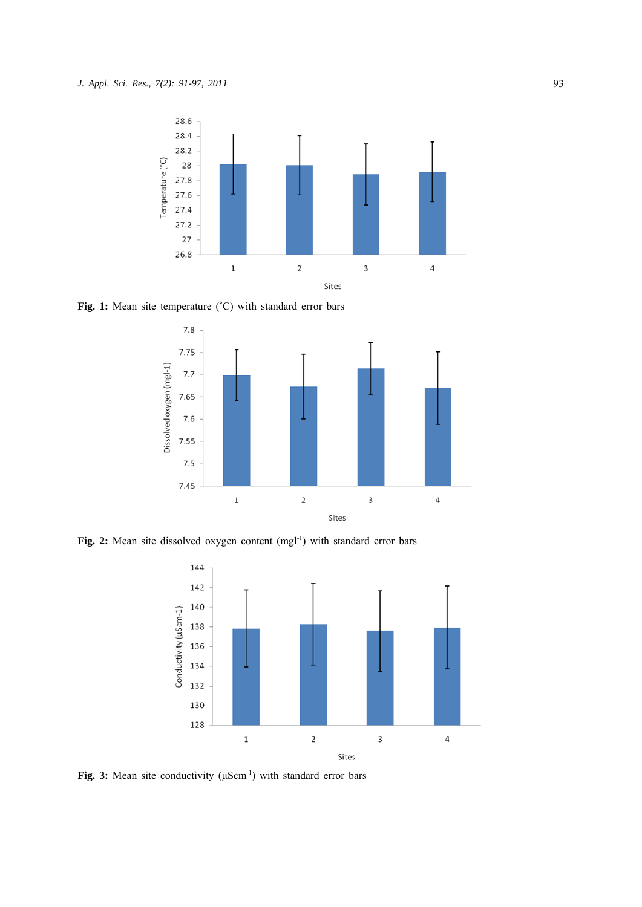

Fig. 1: Mean site temperature (°C) with standard error bars



Fig. 2: Mean site dissolved oxygen content (mgl<sup>-1</sup>) with standard error bars



**Fig. 3:** Mean site conductivity (μScm<sup>-1</sup>) with standard error bars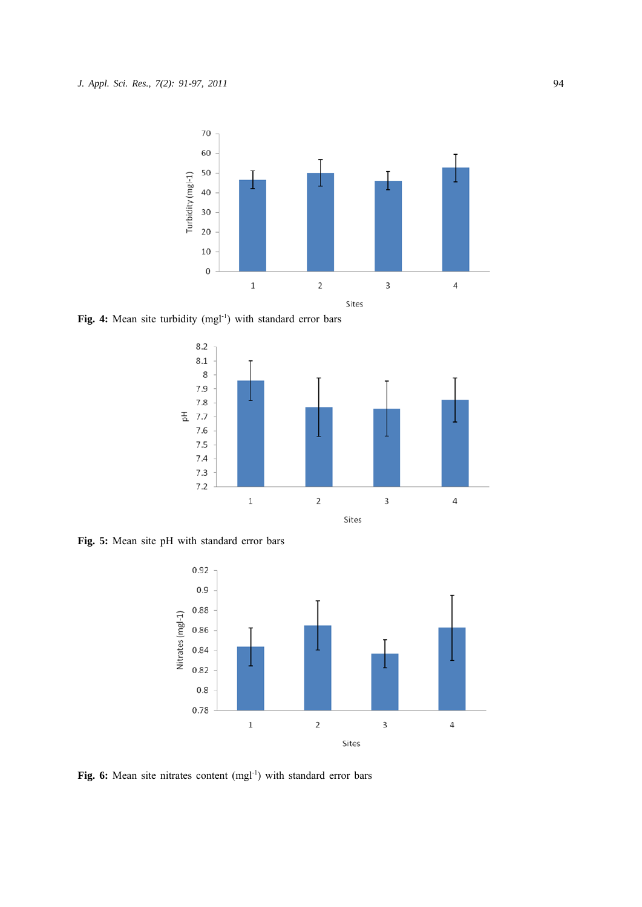

Fig. 4: Mean site turbidity (mgl<sup>-1</sup>) with standard error bars



**Fig. 5:** Mean site pH with standard error bars



Fig. 6: Mean site nitrates content (mgl<sup>-1</sup>) with standard error bars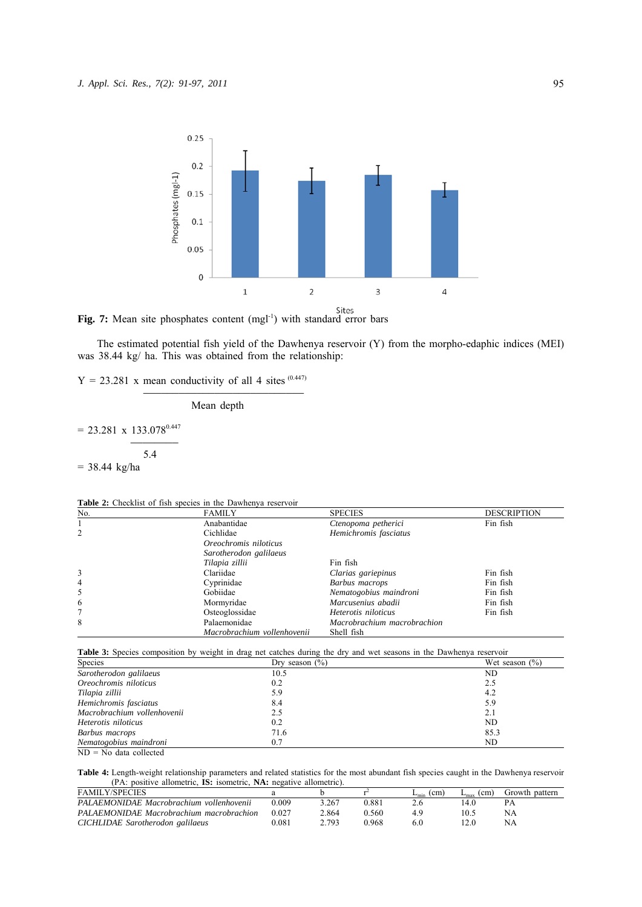



The estimated potential fish yield of the Dawhenya reservoir (Y) from the morpho-edaphic indices (MEI) was 38.44 kg/ ha. This was obtained from the relationship:

 $Y = 23.281$  x mean conductivity of all 4 sites (0.447)

)))))))))))))))))))))))))))

Mean depth

 $= 23.281 \times 133.078^{0.447}$  )))))))) 5.4  $= 38.44 \text{ kg/ha}$ 

|  | <b>Table 2:</b> Checklist of fish species in the Dawhenya reservoir |  |  |  |  |  |  |  |  |
|--|---------------------------------------------------------------------|--|--|--|--|--|--|--|--|
|--|---------------------------------------------------------------------|--|--|--|--|--|--|--|--|

| No. | <b>FAMILY</b>               | <b>SPECIES</b>              | <b>DESCRIPTION</b> |
|-----|-----------------------------|-----------------------------|--------------------|
|     | Anabantidae                 | Ctenopoma petherici         | Fin fish           |
| 2   | Cichlidae                   | Hemichromis fasciatus       |                    |
|     | Oreochromis niloticus       |                             |                    |
|     | Sarotherodon galilaeus      |                             |                    |
|     | Tilapia zillii              | Fin fish                    |                    |
| 3   | Clariidae                   | Clarias gariepinus          | Fin fish           |
| 4   | Cyprinidae                  | Barbus macrops              | Fin fish           |
| 5   | Gobiidae                    | Nematogobius maindroni      | Fin fish           |
| 6   | Mormyridae                  | Marcusenius abadii          | Fin fish           |
|     | Osteoglossidae              | Heterotis niloticus         | Fin fish           |
| 8   | Palaemonidae                | Macrobrachium macrobrachion |                    |
|     | Macrobrachium vollenhovenii | Shell fish                  |                    |

| Species                     | Dry season $(\% )$ | Wet season $(\% )$ |
|-----------------------------|--------------------|--------------------|
| Sarotherodon galilaeus      | 10.5               | ND                 |
| Oreochromis niloticus       | 0.2                | 2.5                |
| Tilapia zillii              | 5.9                | 4.2                |
| Hemichromis fasciatus       | 8.4                | 5.9                |
| Macrobrachium vollenhovenii | 2.5                | 2.1                |
| Heterotis niloticus         | 0.2                | ND                 |
| Barbus macrops              | 71.6               | 85.3               |
| Nematogobius maindroni      | 0.7                | ND                 |

ND = No data collected

**Table 4:** Length-weight relationship parameters and related statistics for the most abundant fish species caught in the Dawhenya reservoir (PA: positive allometric, **IS:** isometric, **NA:** negative allometric).

| <b>FAMILY/SPECIES</b>                    |       |       |       | (c <sub>m</sub> )<br>$L_{min}$ | $^{\prime}$ cm.<br>$L_{\rm max}$ | Growth pattern |
|------------------------------------------|-------|-------|-------|--------------------------------|----------------------------------|----------------|
| PALAEMONIDAE Macrobrachium vollenhovenii | 0.009 | 3.267 | 0.881 |                                | 4.0،                             |                |
| PALAEMONIDAE Macrobrachium macrobrachion | 0.027 | 2.864 | 0.560 |                                | 10.5                             | NA             |
| CICHLIDAE Sarotherodon galilaeus         | 0.081 | 2 793 | 0.968 | 6.0                            |                                  | NA             |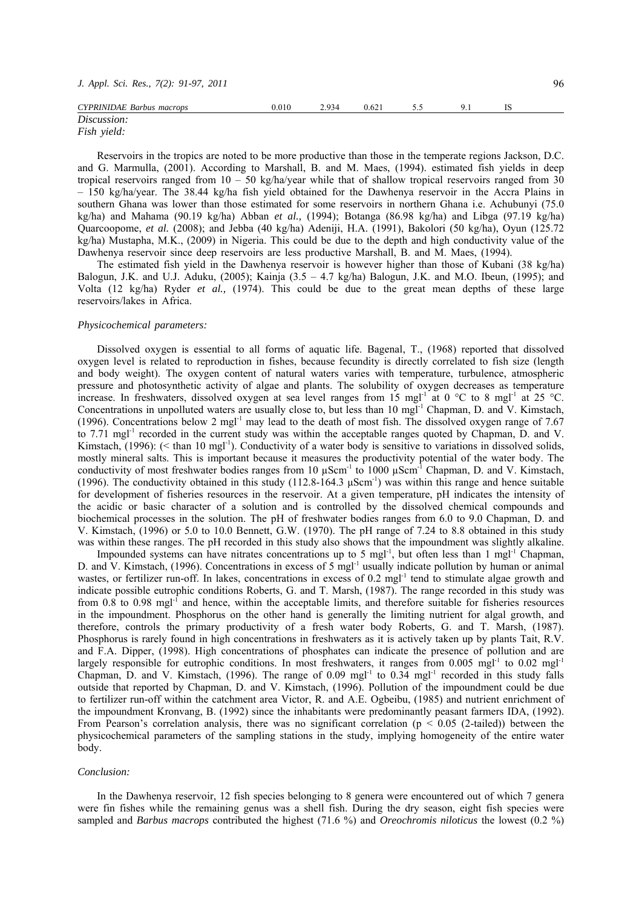| J. Appl. Sci. Res., 7(2): 91-97, 2011 |       |       |       |     |     |  | 96 |
|---------------------------------------|-------|-------|-------|-----|-----|--|----|
| CYPRINIDAE Barbus macrops             | 0.010 | 2.934 | 0.621 | 5.5 | u i |  |    |
| Discussion:<br>$E: L \rightarrow L$   |       |       |       |     |     |  |    |

# *Fish yield:*

Reservoirs in the tropics are noted to be more productive than those in the temperate regions Jackson, D.C. and G. Marmulla, (2001). According to Marshall, B. and M. Maes, (1994). estimated fish yields in deep tropical reservoirs ranged from  $10 - 50$  kg/ha/year while that of shallow tropical reservoirs ranged from 30 – 150 kg/ha/year. The 38.44 kg/ha fish yield obtained for the Dawhenya reservoir in the Accra Plains in southern Ghana was lower than those estimated for some reservoirs in northern Ghana i.e. Achubunyi (75.0) kg/ha) and Mahama (90.19 kg/ha) Abban *et al.,* (1994); Botanga (86.98 kg/ha) and Libga (97.19 kg/ha) Quarcoopome, *et al.* (2008); and Jebba (40 kg/ha) Adeniji, H.A. (1991), Bakolori (50 kg/ha), Oyun (125.72 kg/ha) Mustapha, M.K., (2009) in Nigeria. This could be due to the depth and high conductivity value of the Dawhenya reservoir since deep reservoirs are less productive Marshall, B. and M. Maes, (1994).

The estimated fish yield in the Dawhenya reservoir is however higher than those of Kubani (38 kg/ha) Balogun, J.K. and U.J. Aduku, (2005); Kainja  $(3.5 - 4.7 \text{ kg/ha})$  Balogun, J.K. and M.O. Ibeun, (1995); and Volta (12 kg/ha) Ryder *et al.,* (1974). This could be due to the great mean depths of these large reservoirs/lakes in Africa.

#### *Physicochemical parameters:*

Dissolved oxygen is essential to all forms of aquatic life. Bagenal, T., (1968) reported that dissolved oxygen level is related to reproduction in fishes, because fecundity is directly correlated to fish size (length and body weight). The oxygen content of natural waters varies with temperature, turbulence, atmospheric pressure and photosynthetic activity of algae and plants. The solubility of oxygen decreases as temperature increase. In freshwaters, dissolved oxygen at sea level ranges from 15 mgl<sup>-1</sup> at 0 °C to 8 mgl<sup>-1</sup> at 25 °C. Concentrations in unpolluted waters are usually close to, but less than 10 mgl<sup>-1</sup> Chapman, D. and V. Kimstach, (1996). Concentrations below 2 mgl-1 may lead to the death of most fish. The dissolved oxygen range of 7.67 to 7.71 mgl<sup>-1</sup> recorded in the current study was within the acceptable ranges quoted by Chapman, D. and V. Kimstach,  $(1996)$ : (< than 10 mgl<sup>-1</sup>). Conductivity of a water body is sensitive to variations in dissolved solids, mostly mineral salts. This is important because it measures the productivity potential of the water body. The conductivity of most freshwater bodies ranges from 10  $\mu$ Scm<sup>-1</sup> to 1000  $\mu$ Scm<sup>-1</sup> Chapman, D. and V. Kimstach, (1996). The conductivity obtained in this study (112.8-164.3 μScm-1) was within this range and hence suitable for development of fisheries resources in the reservoir. At a given temperature, pH indicates the intensity of the acidic or basic character of a solution and is controlled by the dissolved chemical compounds and biochemical processes in the solution. The pH of freshwater bodies ranges from 6.0 to 9.0 Chapman, D. and V. Kimstach, (1996) or 5.0 to 10.0 Bennett, G.W. (1970). The pH range of 7.24 to 8.8 obtained in this study was within these ranges. The pH recorded in this study also shows that the impoundment was slightly alkaline.

Impounded systems can have nitrates concentrations up to 5 mgl<sup>-1</sup>, but often less than 1 mgl<sup>-1</sup> Chapman, D. and V. Kimstach, (1996). Concentrations in excess of 5 mgl<sup>-1</sup> usually indicate pollution by human or animal wastes, or fertilizer run-off. In lakes, concentrations in excess of  $0.2 \text{ mgl}^{-1}$  tend to stimulate algae growth and indicate possible eutrophic conditions Roberts, G. and T. Marsh, (1987). The range recorded in this study was from 0.8 to 0.98 mgl<sup>-1</sup> and hence, within the acceptable limits, and therefore suitable for fisheries resources in the impoundment. Phosphorus on the other hand is generally the limiting nutrient for algal growth, and therefore, controls the primary productivity of a fresh water body Roberts, G. and T. Marsh, (1987). Phosphorus is rarely found in high concentrations in freshwaters as it is actively taken up by plants Tait, R.V. and F.A. Dipper, (1998). High concentrations of phosphates can indicate the presence of pollution and are largely responsible for eutrophic conditions. In most freshwaters, it ranges from 0.005 mgl<sup>-1</sup> to 0.02 mgl<sup>-1</sup> Chapman, D. and V. Kimstach, (1996). The range of 0.09 mgl-1 to 0.34 mgl-1 recorded in this study falls outside that reported by Chapman, D. and V. Kimstach, (1996). Pollution of the impoundment could be due to fertilizer run-off within the catchment area Victor, R. and A.E. Ogbeibu, (1985) and nutrient enrichment of the impoundment Kronvang, B. (1992) since the inhabitants were predominantly peasant farmers IDA, (1992). From Pearson's correlation analysis, there was no significant correlation ( $p < 0.05$  (2-tailed)) between the physicochemical parameters of the sampling stations in the study, implying homogeneity of the entire water body.

#### *Conclusion:*

In the Dawhenya reservoir, 12 fish species belonging to 8 genera were encountered out of which 7 genera were fin fishes while the remaining genus was a shell fish. During the dry season, eight fish species were sampled and *Barbus macrops* contributed the highest (71.6 %) and *Oreochromis niloticus* the lowest (0.2 %)